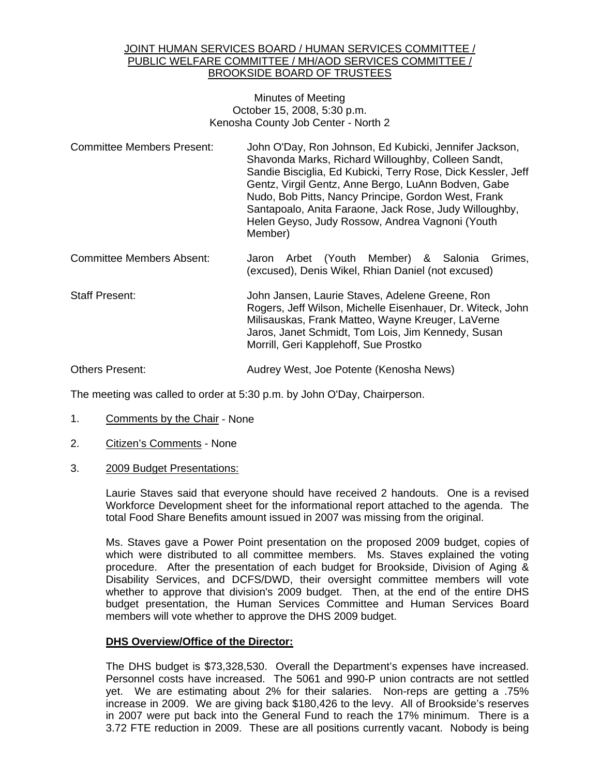#### JOINT HUMAN SERVICES BOARD / HUMAN SERVICES COMMITTEE / PUBLIC WELFARE COMMITTEE / MH/AOD SERVICES COMMITTEE / BROOKSIDE BOARD OF TRUSTEES

Minutes of Meeting October 15, 2008, 5:30 p.m. Kenosha County Job Center - North 2

- Committee Members Present: John O'Day, Ron Johnson, Ed Kubicki, Jennifer Jackson, Shavonda Marks, Richard Willoughby, Colleen Sandt, Sandie Bisciglia, Ed Kubicki, Terry Rose, Dick Kessler, Jeff Gentz, Virgil Gentz, Anne Bergo, LuAnn Bodven, Gabe Nudo, Bob Pitts, Nancy Principe, Gordon West, Frank Santapoalo, Anita Faraone, Jack Rose, Judy Willoughby, Helen Geyso, Judy Rossow, Andrea Vagnoni (Youth Member)
- Committee Members Absent: Jaron Arbet (Youth Member) & Salonia Grimes, (excused), Denis Wikel, Rhian Daniel (not excused)
- Staff Present: John Jansen, Laurie Staves, Adelene Greene, Ron Rogers, Jeff Wilson, Michelle Eisenhauer, Dr. Witeck, John Milisauskas, Frank Matteo, Wayne Kreuger, LaVerne Jaros, Janet Schmidt, Tom Lois, Jim Kennedy, Susan Morrill, Geri Kapplehoff, Sue Prostko

# Others Present: Audrey West, Joe Potente (Kenosha News)

The meeting was called to order at 5:30 p.m. by John O'Day, Chairperson.

- 1. Comments by the Chair None
- 2. Citizen's Comments None
- 3. 2009 Budget Presentations:

 Laurie Staves said that everyone should have received 2 handouts. One is a revised Workforce Development sheet for the informational report attached to the agenda. The total Food Share Benefits amount issued in 2007 was missing from the original.

 Ms. Staves gave a Power Point presentation on the proposed 2009 budget, copies of which were distributed to all committee members. Ms. Staves explained the voting procedure. After the presentation of each budget for Brookside, Division of Aging & Disability Services, and DCFS/DWD, their oversight committee members will vote whether to approve that division's 2009 budget. Then, at the end of the entire DHS budget presentation, the Human Services Committee and Human Services Board members will vote whether to approve the DHS 2009 budget.

#### **DHS Overview/Office of the Director:**

 The DHS budget is \$73,328,530. Overall the Department's expenses have increased. Personnel costs have increased. The 5061 and 990-P union contracts are not settled yet. We are estimating about 2% for their salaries. Non-reps are getting a .75% increase in 2009. We are giving back \$180,426 to the levy. All of Brookside's reserves in 2007 were put back into the General Fund to reach the 17% minimum. There is a 3.72 FTE reduction in 2009. These are all positions currently vacant. Nobody is being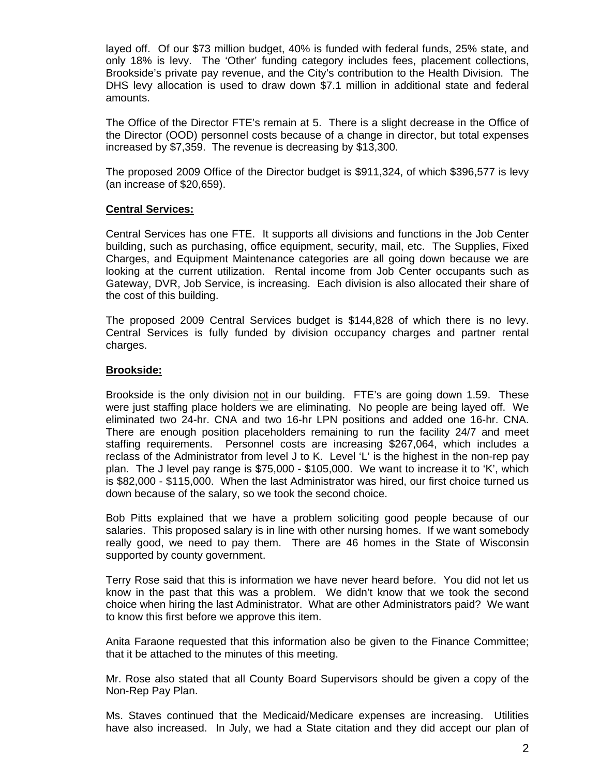layed off. Of our \$73 million budget, 40% is funded with federal funds, 25% state, and only 18% is levy. The 'Other' funding category includes fees, placement collections, Brookside's private pay revenue, and the City's contribution to the Health Division. The DHS levy allocation is used to draw down \$7.1 million in additional state and federal amounts.

 The Office of the Director FTE's remain at 5. There is a slight decrease in the Office of the Director (OOD) personnel costs because of a change in director, but total expenses increased by \$7,359. The revenue is decreasing by \$13,300.

The proposed 2009 Office of the Director budget is \$911,324, of which \$396,577 is levy (an increase of \$20,659).

# **Central Services:**

 Central Services has one FTE. It supports all divisions and functions in the Job Center building, such as purchasing, office equipment, security, mail, etc. The Supplies, Fixed Charges, and Equipment Maintenance categories are all going down because we are looking at the current utilization. Rental income from Job Center occupants such as Gateway, DVR, Job Service, is increasing. Each division is also allocated their share of the cost of this building.

 The proposed 2009 Central Services budget is \$144,828 of which there is no levy. Central Services is fully funded by division occupancy charges and partner rental charges.

# **Brookside:**

 Brookside is the only division not in our building. FTE's are going down 1.59. These were just staffing place holders we are eliminating. No people are being layed off. We eliminated two 24-hr. CNA and two 16-hr LPN positions and added one 16-hr. CNA. There are enough position placeholders remaining to run the facility 24/7 and meet staffing requirements. Personnel costs are increasing \$267,064, which includes a reclass of the Administrator from level J to K. Level 'L' is the highest in the non-rep pay plan. The J level pay range is \$75,000 - \$105,000. We want to increase it to 'K', which is \$82,000 - \$115,000. When the last Administrator was hired, our first choice turned us down because of the salary, so we took the second choice.

 Bob Pitts explained that we have a problem soliciting good people because of our salaries. This proposed salary is in line with other nursing homes. If we want somebody really good, we need to pay them. There are 46 homes in the State of Wisconsin supported by county government.

 Terry Rose said that this is information we have never heard before. You did not let us know in the past that this was a problem. We didn't know that we took the second choice when hiring the last Administrator. What are other Administrators paid? We want to know this first before we approve this item.

Anita Faraone requested that this information also be given to the Finance Committee; that it be attached to the minutes of this meeting.

Mr. Rose also stated that all County Board Supervisors should be given a copy of the Non-Rep Pay Plan.

Ms. Staves continued that the Medicaid/Medicare expenses are increasing. Utilities have also increased. In July, we had a State citation and they did accept our plan of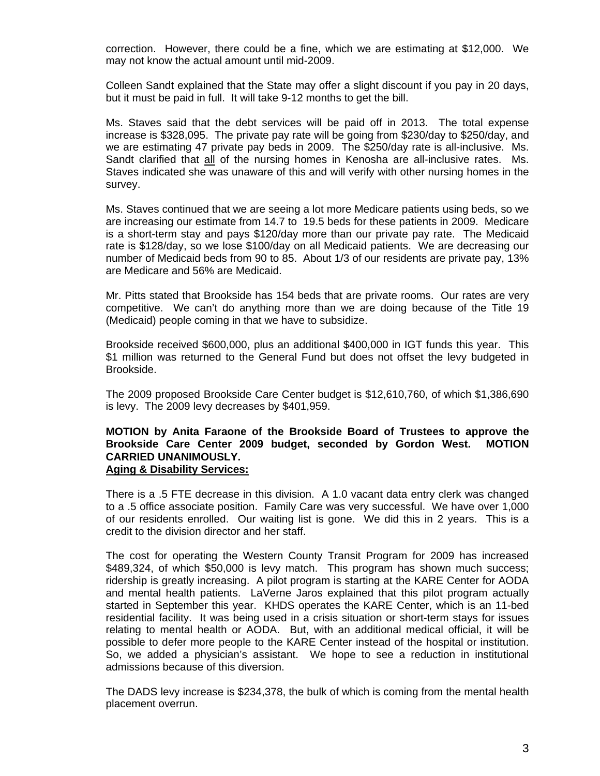correction. However, there could be a fine, which we are estimating at \$12,000. We may not know the actual amount until mid-2009.

Colleen Sandt explained that the State may offer a slight discount if you pay in 20 days, but it must be paid in full. It will take 9-12 months to get the bill.

Ms. Staves said that the debt services will be paid off in 2013. The total expense increase is \$328,095. The private pay rate will be going from \$230/day to \$250/day, and we are estimating 47 private pay beds in 2009. The \$250/day rate is all-inclusive. Ms. Sandt clarified that all of the nursing homes in Kenosha are all-inclusive rates. Ms. Staves indicated she was unaware of this and will verify with other nursing homes in the survey.

Ms. Staves continued that we are seeing a lot more Medicare patients using beds, so we are increasing our estimate from 14.7 to 19.5 beds for these patients in 2009. Medicare is a short-term stay and pays \$120/day more than our private pay rate. The Medicaid rate is \$128/day, so we lose \$100/day on all Medicaid patients. We are decreasing our number of Medicaid beds from 90 to 85. About 1/3 of our residents are private pay, 13% are Medicare and 56% are Medicaid.

Mr. Pitts stated that Brookside has 154 beds that are private rooms. Our rates are very competitive. We can't do anything more than we are doing because of the Title 19 (Medicaid) people coming in that we have to subsidize.

Brookside received \$600,000, plus an additional \$400,000 in IGT funds this year. This \$1 million was returned to the General Fund but does not offset the levy budgeted in Brookside.

The 2009 proposed Brookside Care Center budget is \$12,610,760, of which \$1,386,690 is levy. The 2009 levy decreases by \$401,959.

#### **MOTION by Anita Faraone of the Brookside Board of Trustees to approve the Brookside Care Center 2009 budget, seconded by Gordon West. MOTION CARRIED UNANIMOUSLY. Aging & Disability Services:**

 There is a .5 FTE decrease in this division. A 1.0 vacant data entry clerk was changed to a .5 office associate position. Family Care was very successful. We have over 1,000 of our residents enrolled. Our waiting list is gone. We did this in 2 years. This is a credit to the division director and her staff.

 The cost for operating the Western County Transit Program for 2009 has increased \$489,324, of which \$50,000 is levy match. This program has shown much success; ridership is greatly increasing. A pilot program is starting at the KARE Center for AODA and mental health patients. LaVerne Jaros explained that this pilot program actually started in September this year. KHDS operates the KARE Center, which is an 11-bed residential facility. It was being used in a crisis situation or short-term stays for issues relating to mental health or AODA. But, with an additional medical official, it will be possible to defer more people to the KARE Center instead of the hospital or institution. So, we added a physician's assistant. We hope to see a reduction in institutional admissions because of this diversion.

 The DADS levy increase is \$234,378, the bulk of which is coming from the mental health placement overrun.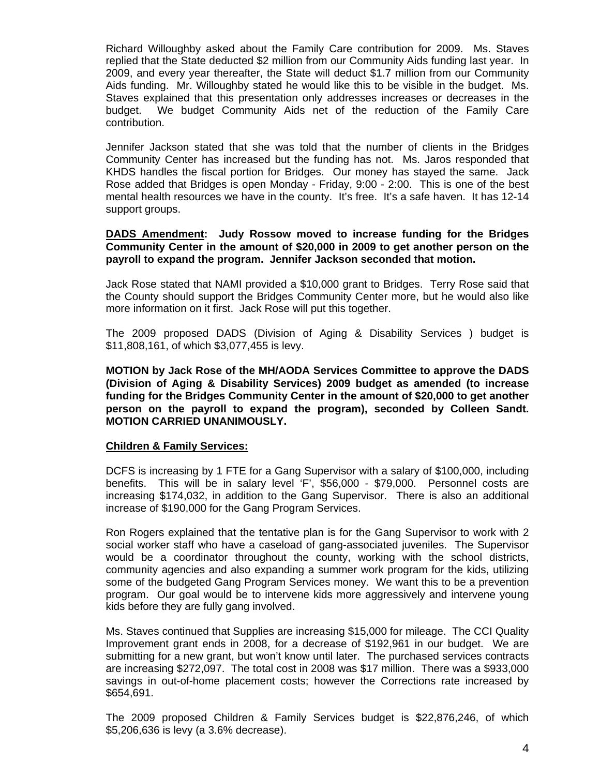Richard Willoughby asked about the Family Care contribution for 2009. Ms. Staves replied that the State deducted \$2 million from our Community Aids funding last year. In 2009, and every year thereafter, the State will deduct \$1.7 million from our Community Aids funding. Mr. Willoughby stated he would like this to be visible in the budget. Ms. Staves explained that this presentation only addresses increases or decreases in the budget. We budget Community Aids net of the reduction of the Family Care contribution.

 Jennifer Jackson stated that she was told that the number of clients in the Bridges Community Center has increased but the funding has not. Ms. Jaros responded that KHDS handles the fiscal portion for Bridges. Our money has stayed the same. Jack Rose added that Bridges is open Monday - Friday, 9:00 - 2:00. This is one of the best mental health resources we have in the county. It's free. It's a safe haven. It has 12-14 support groups.

### **DADS Amendment: Judy Rossow moved to increase funding for the Bridges Community Center in the amount of \$20,000 in 2009 to get another person on the payroll to expand the program. Jennifer Jackson seconded that motion.**

 Jack Rose stated that NAMI provided a \$10,000 grant to Bridges. Terry Rose said that the County should support the Bridges Community Center more, but he would also like more information on it first. Jack Rose will put this together.

 The 2009 proposed DADS (Division of Aging & Disability Services ) budget is \$11,808,161, of which \$3,077,455 is levy.

**MOTION by Jack Rose of the MH/AODA Services Committee to approve the DADS (Division of Aging & Disability Services) 2009 budget as amended (to increase funding for the Bridges Community Center in the amount of \$20,000 to get another person on the payroll to expand the program), seconded by Colleen Sandt. MOTION CARRIED UNANIMOUSLY.** 

#### **Children & Family Services:**

 DCFS is increasing by 1 FTE for a Gang Supervisor with a salary of \$100,000, including benefits. This will be in salary level 'F', \$56,000 - \$79,000. Personnel costs are increasing \$174,032, in addition to the Gang Supervisor. There is also an additional increase of \$190,000 for the Gang Program Services.

 Ron Rogers explained that the tentative plan is for the Gang Supervisor to work with 2 social worker staff who have a caseload of gang-associated juveniles. The Supervisor would be a coordinator throughout the county, working with the school districts, community agencies and also expanding a summer work program for the kids, utilizing some of the budgeted Gang Program Services money. We want this to be a prevention program. Our goal would be to intervene kids more aggressively and intervene young kids before they are fully gang involved.

 Ms. Staves continued that Supplies are increasing \$15,000 for mileage. The CCI Quality Improvement grant ends in 2008, for a decrease of \$192,961 in our budget. We are submitting for a new grant, but won't know until later. The purchased services contracts are increasing \$272,097. The total cost in 2008 was \$17 million. There was a \$933,000 savings in out-of-home placement costs; however the Corrections rate increased by \$654,691.

 The 2009 proposed Children & Family Services budget is \$22,876,246, of which \$5,206,636 is levy (a 3.6% decrease).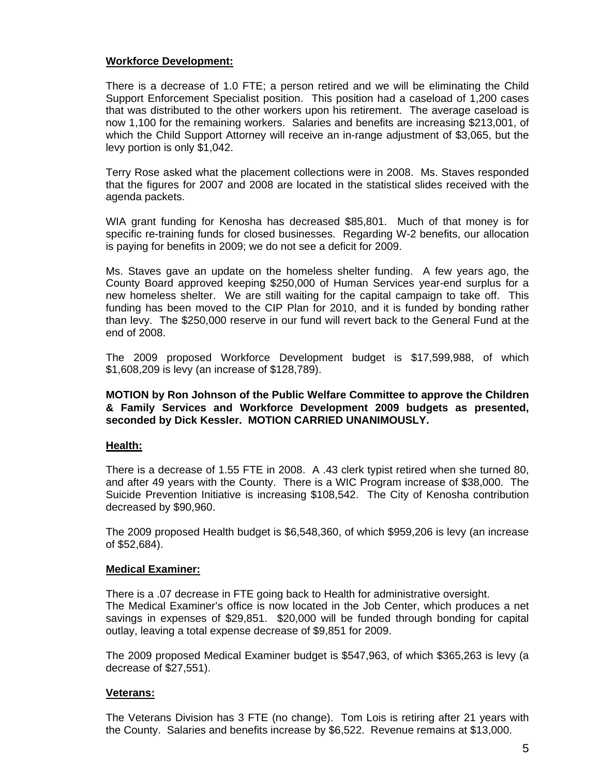# **Workforce Development:**

 There is a decrease of 1.0 FTE; a person retired and we will be eliminating the Child Support Enforcement Specialist position. This position had a caseload of 1,200 cases that was distributed to the other workers upon his retirement. The average caseload is now 1,100 for the remaining workers. Salaries and benefits are increasing \$213,001, of which the Child Support Attorney will receive an in-range adjustment of \$3,065, but the levy portion is only \$1,042.

 Terry Rose asked what the placement collections were in 2008. Ms. Staves responded that the figures for 2007 and 2008 are located in the statistical slides received with the agenda packets.

 WIA grant funding for Kenosha has decreased \$85,801. Much of that money is for specific re-training funds for closed businesses. Regarding W-2 benefits, our allocation is paying for benefits in 2009; we do not see a deficit for 2009.

 Ms. Staves gave an update on the homeless shelter funding. A few years ago, the County Board approved keeping \$250,000 of Human Services year-end surplus for a new homeless shelter. We are still waiting for the capital campaign to take off. This funding has been moved to the CIP Plan for 2010, and it is funded by bonding rather than levy. The \$250,000 reserve in our fund will revert back to the General Fund at the end of 2008.

 The 2009 proposed Workforce Development budget is \$17,599,988, of which \$1,608,209 is levy (an increase of \$128,789).

#### **MOTION by Ron Johnson of the Public Welfare Committee to approve the Children & Family Services and Workforce Development 2009 budgets as presented, seconded by Dick Kessler. MOTION CARRIED UNANIMOUSLY.**

# **Health:**

 There is a decrease of 1.55 FTE in 2008. A .43 clerk typist retired when she turned 80, and after 49 years with the County. There is a WIC Program increase of \$38,000. The Suicide Prevention Initiative is increasing \$108,542. The City of Kenosha contribution decreased by \$90,960.

 The 2009 proposed Health budget is \$6,548,360, of which \$959,206 is levy (an increase of \$52,684).

#### **Medical Examiner:**

There is a .07 decrease in FTE going back to Health for administrative oversight. The Medical Examiner's office is now located in the Job Center, which produces a net savings in expenses of \$29,851. \$20,000 will be funded through bonding for capital outlay, leaving a total expense decrease of \$9,851 for 2009.

 The 2009 proposed Medical Examiner budget is \$547,963, of which \$365,263 is levy (a decrease of \$27,551).

#### **Veterans:**

 The Veterans Division has 3 FTE (no change). Tom Lois is retiring after 21 years with the County. Salaries and benefits increase by \$6,522. Revenue remains at \$13,000.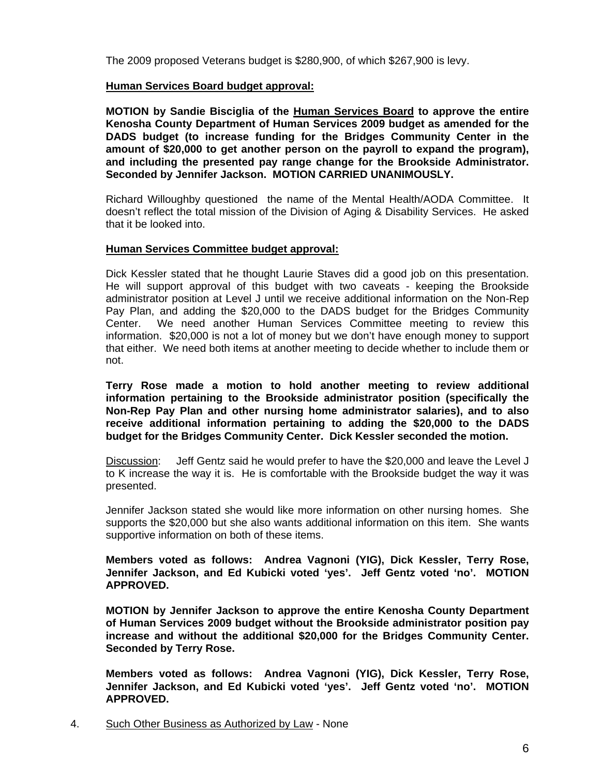The 2009 proposed Veterans budget is \$280,900, of which \$267,900 is levy.

# **Human Services Board budget approval:**

 **MOTION by Sandie Bisciglia of the Human Services Board to approve the entire Kenosha County Department of Human Services 2009 budget as amended for the DADS budget (to increase funding for the Bridges Community Center in the amount of \$20,000 to get another person on the payroll to expand the program), and including the presented pay range change for the Brookside Administrator. Seconded by Jennifer Jackson. MOTION CARRIED UNANIMOUSLY.** 

Richard Willoughby questioned the name of the Mental Health/AODA Committee. It doesn't reflect the total mission of the Division of Aging & Disability Services. He asked that it be looked into.

#### **Human Services Committee budget approval:**

 Dick Kessler stated that he thought Laurie Staves did a good job on this presentation. He will support approval of this budget with two caveats - keeping the Brookside administrator position at Level J until we receive additional information on the Non-Rep Pay Plan, and adding the \$20,000 to the DADS budget for the Bridges Community Center. We need another Human Services Committee meeting to review this information. \$20,000 is not a lot of money but we don't have enough money to support that either. We need both items at another meeting to decide whether to include them or not.

**Terry Rose made a motion to hold another meeting to review additional information pertaining to the Brookside administrator position (specifically the Non-Rep Pay Plan and other nursing home administrator salaries), and to also receive additional information pertaining to adding the \$20,000 to the DADS budget for the Bridges Community Center. Dick Kessler seconded the motion.** 

Discussion: Jeff Gentz said he would prefer to have the \$20,000 and leave the Level J to K increase the way it is. He is comfortable with the Brookside budget the way it was presented.

 Jennifer Jackson stated she would like more information on other nursing homes. She supports the \$20,000 but she also wants additional information on this item. She wants supportive information on both of these items.

**Members voted as follows: Andrea Vagnoni (YIG), Dick Kessler, Terry Rose, Jennifer Jackson, and Ed Kubicki voted 'yes'. Jeff Gentz voted 'no'. MOTION APPROVED.** 

 **MOTION by Jennifer Jackson to approve the entire Kenosha County Department of Human Services 2009 budget without the Brookside administrator position pay increase and without the additional \$20,000 for the Bridges Community Center. Seconded by Terry Rose.** 

 **Members voted as follows: Andrea Vagnoni (YIG), Dick Kessler, Terry Rose, Jennifer Jackson, and Ed Kubicki voted 'yes'. Jeff Gentz voted 'no'. MOTION APPROVED.**